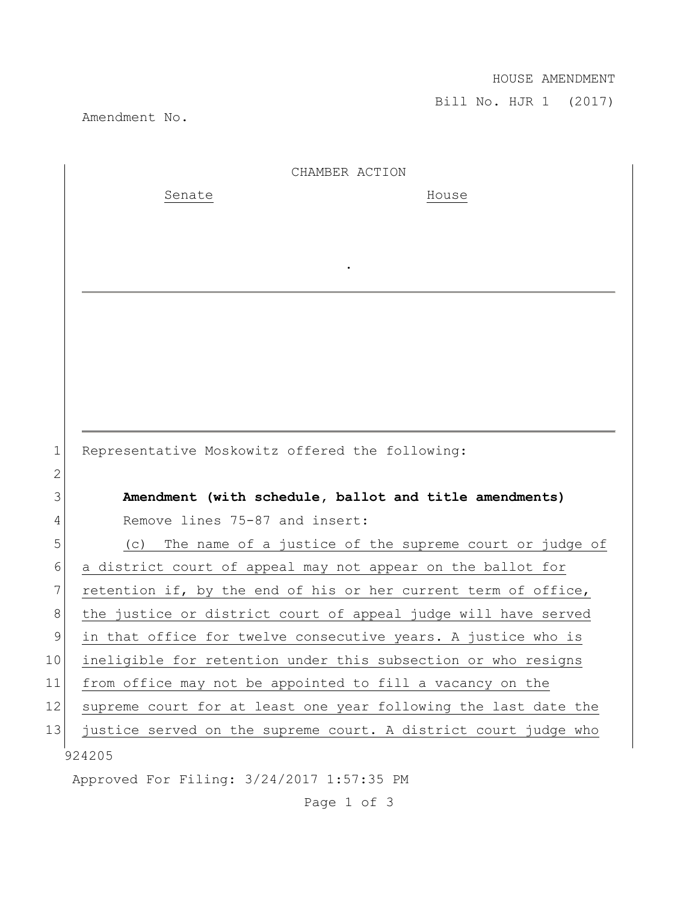## HOUSE AMENDMENT

Bill No. HJR 1 (2017)

Amendment No.

|              | CHAMBER ACTION                                                  |
|--------------|-----------------------------------------------------------------|
|              | Senate<br>House                                                 |
|              |                                                                 |
|              |                                                                 |
|              |                                                                 |
|              |                                                                 |
|              |                                                                 |
|              |                                                                 |
|              |                                                                 |
|              |                                                                 |
|              |                                                                 |
| $\mathbf 1$  | Representative Moskowitz offered the following:                 |
| $\mathbf{2}$ |                                                                 |
| 3            | Amendment (with schedule, ballot and title amendments)          |
| 4            | Remove lines 75-87 and insert:                                  |
| 5            | The name of a justice of the supreme court or judge of<br>(C)   |
| 6            | a district court of appeal may not appear on the ballot for     |
| 7            | retention if, by the end of his or her current term of office,  |
| 8            | the justice or district court of appeal judge will have served  |
| 9            | in that office for twelve consecutive years. A justice who is   |
| 10           | ineligible for retention under this subsection or who resigns   |
| 11           | from office may not be appointed to fill a vacancy on the       |
| 12           | supreme court for at least one year following the last date the |
| 13           | justice served on the supreme court. A district court judge who |
|              | 924205                                                          |
|              | Approved For Filing: 3/24/2017 1:57:35 PM                       |

Page 1 of 3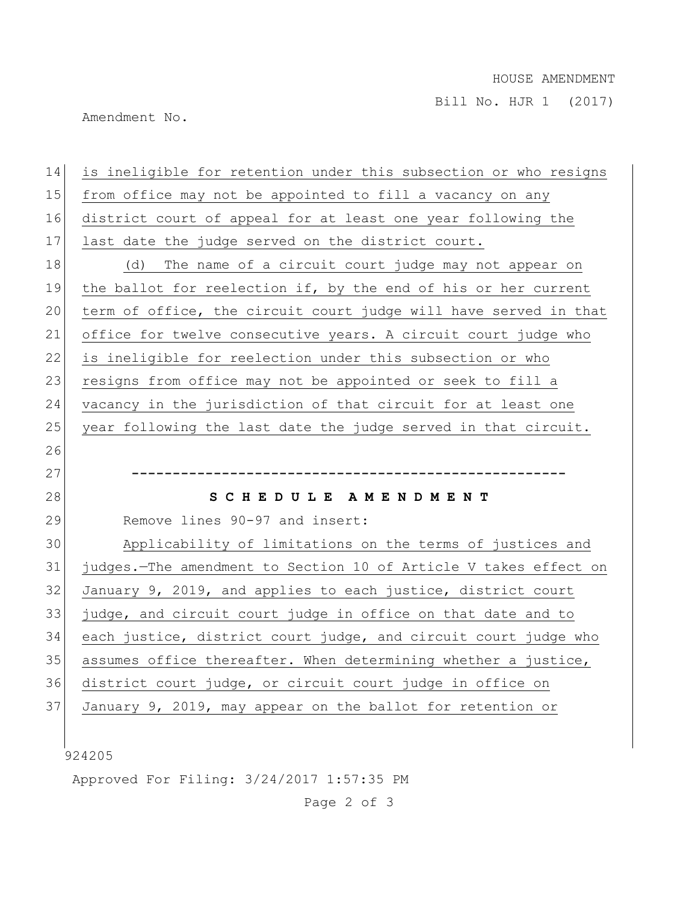## HOUSE AMENDMENT

Bill No. HJR 1 (2017)

Amendment No.

| is ineligible for retention under this subsection or who resigns<br>from office may not be appointed to fill a vacancy on any<br>district court of appeal for at least one year following the<br>last date the judge served on the district court.<br>The name of a circuit court judge may not appear on<br>the ballot for reelection if, by the end of his or her current<br>term of office, the circuit court judge will have served in that<br>office for twelve consecutive years. A circuit court judge who<br>is ineligible for reelection under this subsection or who<br>resigns from office may not be appointed or seek to fill a |
|----------------------------------------------------------------------------------------------------------------------------------------------------------------------------------------------------------------------------------------------------------------------------------------------------------------------------------------------------------------------------------------------------------------------------------------------------------------------------------------------------------------------------------------------------------------------------------------------------------------------------------------------|
|                                                                                                                                                                                                                                                                                                                                                                                                                                                                                                                                                                                                                                              |
|                                                                                                                                                                                                                                                                                                                                                                                                                                                                                                                                                                                                                                              |
|                                                                                                                                                                                                                                                                                                                                                                                                                                                                                                                                                                                                                                              |
|                                                                                                                                                                                                                                                                                                                                                                                                                                                                                                                                                                                                                                              |
|                                                                                                                                                                                                                                                                                                                                                                                                                                                                                                                                                                                                                                              |
|                                                                                                                                                                                                                                                                                                                                                                                                                                                                                                                                                                                                                                              |
|                                                                                                                                                                                                                                                                                                                                                                                                                                                                                                                                                                                                                                              |
|                                                                                                                                                                                                                                                                                                                                                                                                                                                                                                                                                                                                                                              |
|                                                                                                                                                                                                                                                                                                                                                                                                                                                                                                                                                                                                                                              |
| vacancy in the jurisdiction of that circuit for at least one                                                                                                                                                                                                                                                                                                                                                                                                                                                                                                                                                                                 |
| year following the last date the judge served in that circuit.                                                                                                                                                                                                                                                                                                                                                                                                                                                                                                                                                                               |
|                                                                                                                                                                                                                                                                                                                                                                                                                                                                                                                                                                                                                                              |
|                                                                                                                                                                                                                                                                                                                                                                                                                                                                                                                                                                                                                                              |
| SCHEDULE AMENDMENT                                                                                                                                                                                                                                                                                                                                                                                                                                                                                                                                                                                                                           |
| Remove lines 90-97 and insert:                                                                                                                                                                                                                                                                                                                                                                                                                                                                                                                                                                                                               |
| Applicability of limitations on the terms of justices and                                                                                                                                                                                                                                                                                                                                                                                                                                                                                                                                                                                    |
| judges. The amendment to Section 10 of Article V takes effect on                                                                                                                                                                                                                                                                                                                                                                                                                                                                                                                                                                             |
| January 9, 2019, and applies to each justice, district court                                                                                                                                                                                                                                                                                                                                                                                                                                                                                                                                                                                 |
| judge, and circuit court judge in office on that date and to                                                                                                                                                                                                                                                                                                                                                                                                                                                                                                                                                                                 |
| each justice, district court judge, and circuit court judge who                                                                                                                                                                                                                                                                                                                                                                                                                                                                                                                                                                              |
|                                                                                                                                                                                                                                                                                                                                                                                                                                                                                                                                                                                                                                              |
| assumes office thereafter. When determining whether a justice,                                                                                                                                                                                                                                                                                                                                                                                                                                                                                                                                                                               |
| district court judge, or circuit court judge in office on                                                                                                                                                                                                                                                                                                                                                                                                                                                                                                                                                                                    |
| January 9, 2019, may appear on the ballot for retention or                                                                                                                                                                                                                                                                                                                                                                                                                                                                                                                                                                                   |
|                                                                                                                                                                                                                                                                                                                                                                                                                                                                                                                                                                                                                                              |

 $924205$ 

Approved For Filing: 3/24/2017 1:57:35 PM

Page 2 of 3